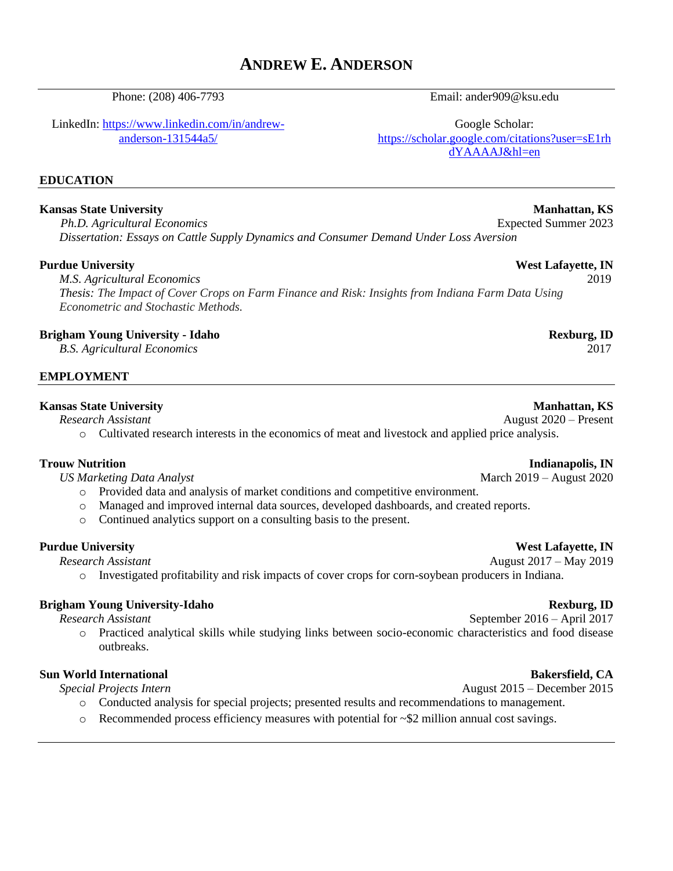# **ANDREW E. ANDERSON**

Phone: (208) 406-7793

LinkedIn: [https://www.linkedin.com/in/andrew](https://www.linkedin.com/in/andrew-anderson-131544a5/)[anderson-131544a5/](https://www.linkedin.com/in/andrew-anderson-131544a5/)

# **EDUCATION**

#### **Kansas State University Manhattan, KS**

*Ph.D. Agricultural Economics* Expected Summer 2023 *Dissertation: Essays on Cattle Supply Dynamics and Consumer Demand Under Loss Aversion*

#### **Purdue University West Lafayette, IN**

*M.S. Agricultural Economics* 2019 *Thesis: The Impact of Cover Crops on Farm Finance and Risk: Insights from Indiana Farm Data Using Econometric and Stochastic Methods.*

#### **Brigham Young University - Idaho Rexburg, ID**

*B.S. Agricultural Economics* 2017

### **EMPLOYMENT**

#### **Kansas State University Manhattan, KS**

*Research Assistant* August 2020 – Present

o Cultivated research interests in the economics of meat and livestock and applied price analysis.

- o Provided data and analysis of market conditions and competitive environment.
- o Managed and improved internal data sources, developed dashboards, and created reports.
- o Continued analytics support on a consulting basis to the present.

### **Purdue University West Lafayette, IN**

*Research Assistant* August 2017 – May 2019

o Investigated profitability and risk impacts of cover crops for corn-soybean producers in Indiana.

# **Brigham Young University-Idaho Rexburg, ID**

*Research Assistant* September 2016 – April 2017

o Practiced analytical skills while studying links between socio-economic characteristics and food disease outbreaks.

# **Sun World International Bakersfield, CA**

*Special Projects Intern* August 2015 – December 2015

- o Conducted analysis for special projects; presented results and recommendations to management.
- $\circ$  Recommended process efficiency measures with potential for  $\sim$  \$2 million annual cost savings.

# Email: ander909@ksu.edu

Google Scholar: [https://scholar.google.com/citations?user=sE1rh](https://scholar.google.com/citations?user=sE1rhdYAAAAJ&hl=en) [dYAAAAJ&hl=en](https://scholar.google.com/citations?user=sE1rhdYAAAAJ&hl=en)

### **Trouw Nutrition Indianapolis, IN**

*US Marketing Data Analyst* March 2019 – August 2020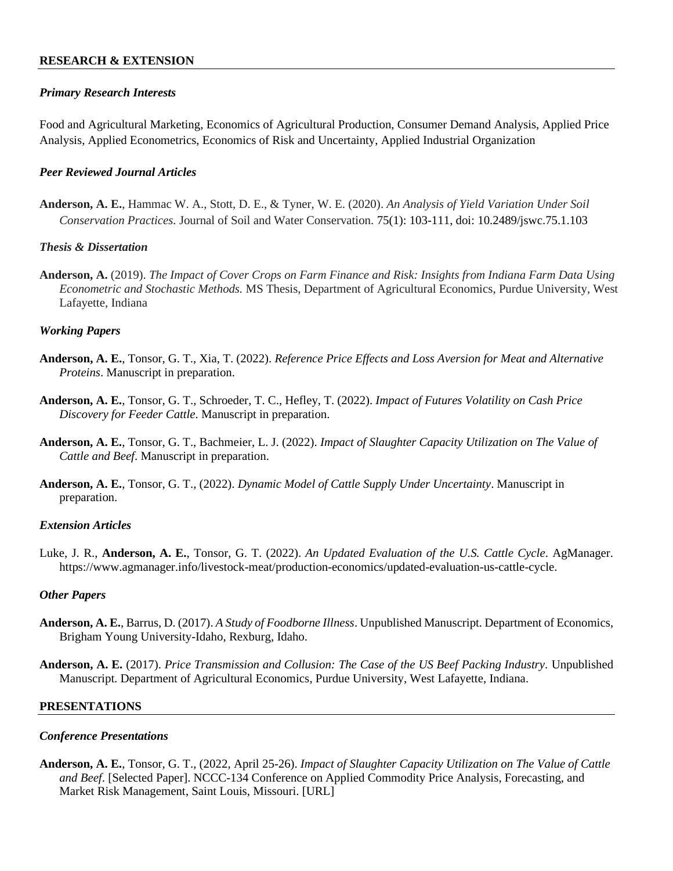### **RESEARCH & EXTENSION**

#### *Primary Research Interests*

Food and Agricultural Marketing, Economics of Agricultural Production, Consumer Demand Analysis, Applied Price Analysis, Applied Econometrics, Economics of Risk and Uncertainty, Applied Industrial Organization

#### *Peer Reviewed Journal Articles*

**Anderson, A. E.**, Hammac W. A., Stott, D. E., & Tyner, W. E. (2020). *An Analysis of Yield Variation Under Soil Conservation Practices.* Journal of Soil and Water Conservation. 75(1): 103-111, doi: 10.2489/jswc.75.1.103

#### *Thesis & Dissertation*

**Anderson, A.** (2019). *The Impact of Cover Crops on Farm Finance and Risk: Insights from Indiana Farm Data Using Econometric and Stochastic Methods.* MS Thesis, Department of Agricultural Economics, Purdue University, West Lafayette, Indiana

#### *Working Papers*

- **Anderson, A. E.**, Tonsor, G. T., Xia, T. (2022). *Reference Price Effects and Loss Aversion for Meat and Alternative Proteins*. Manuscript in preparation.
- **Anderson, A. E.**, Tonsor, G. T., Schroeder, T. C., Hefley, T. (2022). *Impact of Futures Volatility on Cash Price Discovery for Feeder Cattle*. Manuscript in preparation.
- **Anderson, A. E.**, Tonsor, G. T., Bachmeier, L. J. (2022). *Impact of Slaughter Capacity Utilization on The Value of Cattle and Beef*. Manuscript in preparation.
- **Anderson, A. E.**, Tonsor, G. T., (2022). *Dynamic Model of Cattle Supply Under Uncertainty*. Manuscript in preparation.

#### *Extension Articles*

Luke, J. R., **Anderson, A. E.**, Tonsor, G. T. (2022). *An Updated Evaluation of the U.S. Cattle Cycle*. AgManager. https://www.agmanager.info/livestock-meat/production-economics/updated-evaluation-us-cattle-cycle.

#### *Other Papers*

- **Anderson, A. E.**, Barrus, D. (2017). *A Study of Foodborne Illness*. Unpublished Manuscript. Department of Economics, Brigham Young University-Idaho, Rexburg, Idaho.
- **Anderson, A. E.** (2017). *Price Transmission and Collusion: The Case of the US Beef Packing Industry.* Unpublished Manuscript. Department of Agricultural Economics, Purdue University, West Lafayette, Indiana.

#### **PRESENTATIONS**

#### *Conference Presentations*

**Anderson, A. E.**, Tonsor, G. T., (2022, April 25-26). *Impact of Slaughter Capacity Utilization on The Value of Cattle and Beef*. [Selected Paper]. NCCC-134 Conference on Applied Commodity Price Analysis, Forecasting, and Market Risk Management, Saint Louis, Missouri. [URL]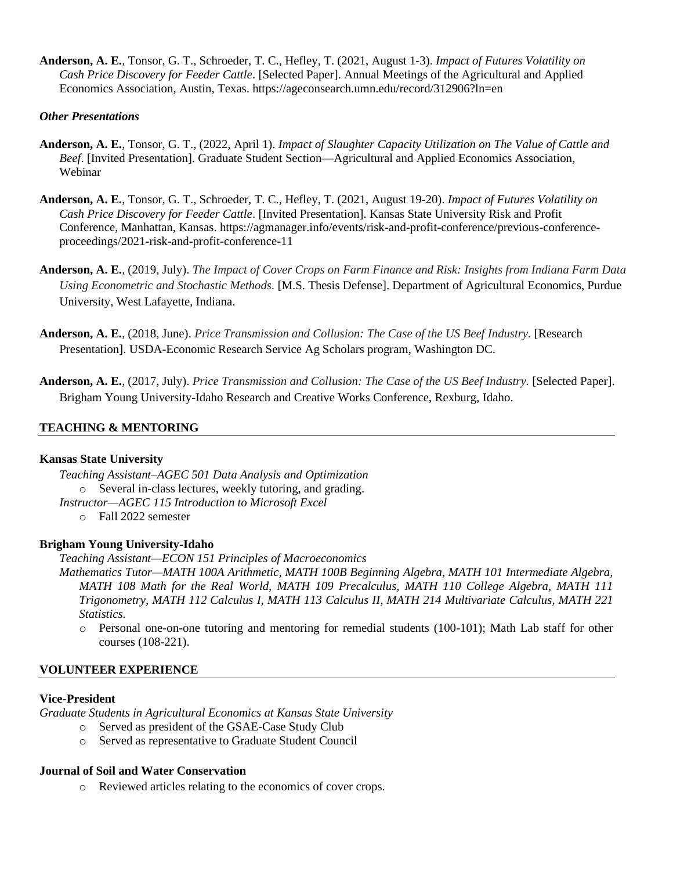**Anderson, A. E.**, Tonsor, G. T., Schroeder, T. C., Hefley, T. (2021, August 1-3). *Impact of Futures Volatility on Cash Price Discovery for Feeder Cattle*. [Selected Paper]. Annual Meetings of the Agricultural and Applied Economics Association, Austin, Texas. https://ageconsearch.umn.edu/record/312906?ln=en

### *Other Presentations*

- **Anderson, A. E.**, Tonsor, G. T., (2022, April 1). *Impact of Slaughter Capacity Utilization on The Value of Cattle and Beef*. [Invited Presentation]. Graduate Student Section—Agricultural and Applied Economics Association, Webinar
- **Anderson, A. E.**, Tonsor, G. T., Schroeder, T. C., Hefley, T. (2021, August 19-20). *Impact of Futures Volatility on Cash Price Discovery for Feeder Cattle*. [Invited Presentation]. Kansas State University Risk and Profit Conference, Manhattan, Kansas. https://agmanager.info/events/risk-and-profit-conference/previous-conferenceproceedings/2021-risk-and-profit-conference-11
- **Anderson, A. E.**, (2019, July). *The Impact of Cover Crops on Farm Finance and Risk: Insights from Indiana Farm Data Using Econometric and Stochastic Methods.* [M.S. Thesis Defense]. Department of Agricultural Economics, Purdue University, West Lafayette, Indiana.
- **Anderson, A. E.**, (2018, June). *Price Transmission and Collusion: The Case of the US Beef Industry.* [Research Presentation]. USDA-Economic Research Service Ag Scholars program, Washington DC.
- **Anderson, A. E.**, (2017, July). *Price Transmission and Collusion: The Case of the US Beef Industry.* [Selected Paper]. Brigham Young University-Idaho Research and Creative Works Conference, Rexburg, Idaho.

# **TEACHING & MENTORING**

### **Kansas State University**

*Teaching Assistant–AGEC 501 Data Analysis and Optimization* o Several in-class lectures, weekly tutoring, and grading. *Instructor—AGEC 115 Introduction to Microsoft Excel*

o Fall 2022 semester

### **Brigham Young University-Idaho**

*Teaching Assistant—ECON 151 Principles of Macroeconomics*

*Mathematics Tutor—MATH 100A Arithmetic, MATH 100B Beginning Algebra, MATH 101 Intermediate Algebra, MATH 108 Math for the Real World, MATH 109 Precalculus, MATH 110 College Algebra, MATH 111 Trigonometry, MATH 112 Calculus I, MATH 113 Calculus II, MATH 214 Multivariate Calculus, MATH 221 Statistics.*

o Personal one-on-one tutoring and mentoring for remedial students (100-101); Math Lab staff for other courses (108-221).

### **VOLUNTEER EXPERIENCE**

### **Vice-President**

*Graduate Students in Agricultural Economics at Kansas State University*

- o Served as president of the GSAE-Case Study Club
- o Served as representative to Graduate Student Council

# **Journal of Soil and Water Conservation**

o Reviewed articles relating to the economics of cover crops.